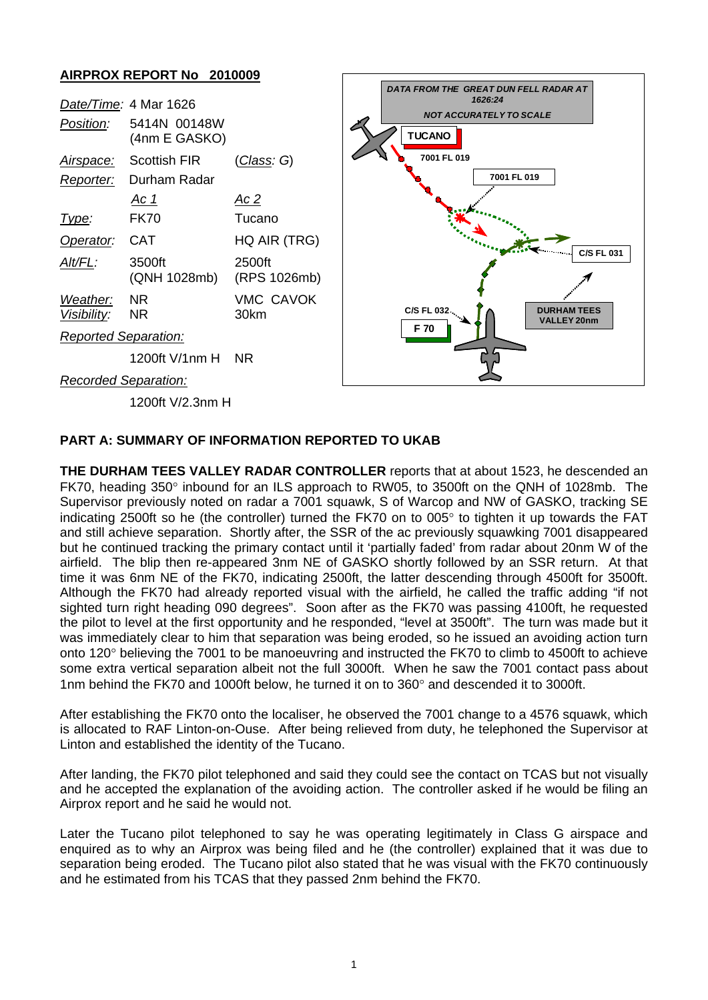

## **PART A: SUMMARY OF INFORMATION REPORTED TO UKAB**

**THE DURHAM TEES VALLEY RADAR CONTROLLER** reports that at about 1523, he descended an FK70, heading 350° inbound for an ILS approach to RW05, to 3500ft on the QNH of 1028mb. The Supervisor previously noted on radar a 7001 squawk, S of Warcop and NW of GASKO, tracking SE indicating 2500ft so he (the controller) turned the FK70 on to 005° to tighten it up towards the FAT and still achieve separation. Shortly after, the SSR of the ac previously squawking 7001 disappeared but he continued tracking the primary contact until it 'partially faded' from radar about 20nm W of the airfield. The blip then re-appeared 3nm NE of GASKO shortly followed by an SSR return. At that time it was 6nm NE of the FK70, indicating 2500ft, the latter descending through 4500ft for 3500ft. Although the FK70 had already reported visual with the airfield, he called the traffic adding "if not sighted turn right heading 090 degrees". Soon after as the FK70 was passing 4100ft, he requested the pilot to level at the first opportunity and he responded, "level at 3500ft". The turn was made but it was immediately clear to him that separation was being eroded, so he issued an avoiding action turn onto 120° believing the 7001 to be manoeuvring and instructed the FK70 to climb to 4500ft to achieve some extra vertical separation albeit not the full 3000ft. When he saw the 7001 contact pass about 1nm behind the FK70 and 1000ft below, he turned it on to 360° and descended it to 3000ft.

After establishing the FK70 onto the localiser, he observed the 7001 change to a 4576 squawk, which is allocated to RAF Linton-on-Ouse. After being relieved from duty, he telephoned the Supervisor at Linton and established the identity of the Tucano.

After landing, the FK70 pilot telephoned and said they could see the contact on TCAS but not visually and he accepted the explanation of the avoiding action. The controller asked if he would be filing an Airprox report and he said he would not.

Later the Tucano pilot telephoned to say he was operating legitimately in Class G airspace and enquired as to why an Airprox was being filed and he (the controller) explained that it was due to separation being eroded. The Tucano pilot also stated that he was visual with the FK70 continuously and he estimated from his TCAS that they passed 2nm behind the FK70.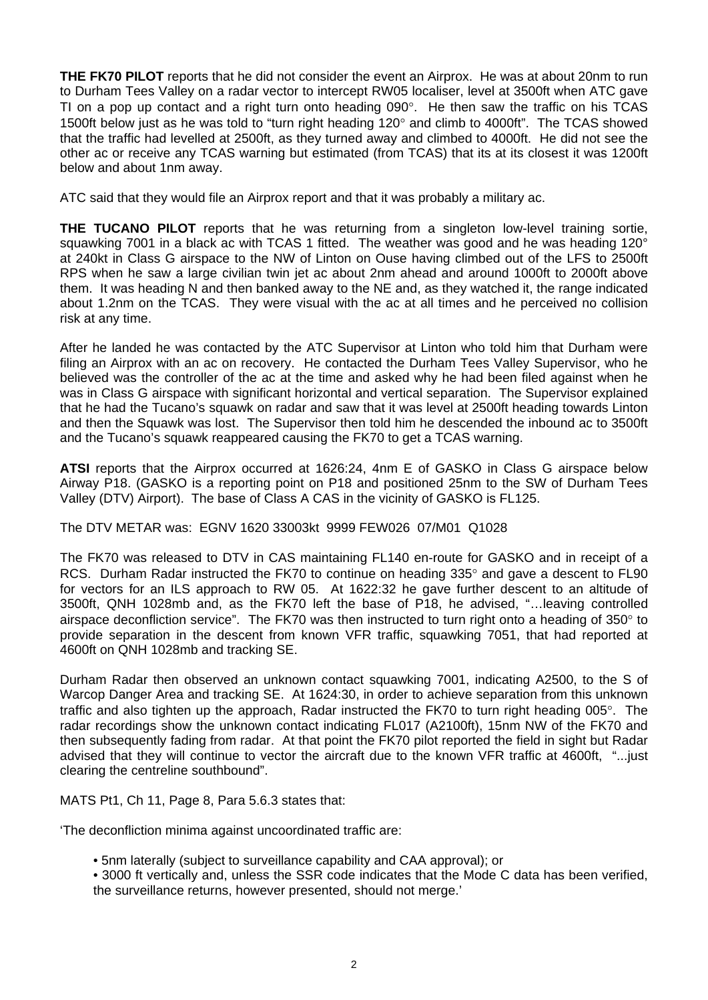**THE FK70 PILOT** reports that he did not consider the event an Airprox. He was at about 20nm to run to Durham Tees Valley on a radar vector to intercept RW05 localiser, level at 3500ft when ATC gave TI on a pop up contact and a right turn onto heading 090°. He then saw the traffic on his TCAS 1500ft below just as he was told to "turn right heading 120° and climb to 4000ft". The TCAS showed that the traffic had levelled at 2500ft, as they turned away and climbed to 4000ft. He did not see the other ac or receive any TCAS warning but estimated (from TCAS) that its at its closest it was 1200ft below and about 1nm away.

ATC said that they would file an Airprox report and that it was probably a military ac.

**THE TUCANO PILOT** reports that he was returning from a singleton low-level training sortie, squawking 7001 in a black ac with TCAS 1 fitted. The weather was good and he was heading 120° at 240kt in Class G airspace to the NW of Linton on Ouse having climbed out of the LFS to 2500ft RPS when he saw a large civilian twin jet ac about 2nm ahead and around 1000ft to 2000ft above them. It was heading N and then banked away to the NE and, as they watched it, the range indicated about 1.2nm on the TCAS. They were visual with the ac at all times and he perceived no collision risk at any time.

After he landed he was contacted by the ATC Supervisor at Linton who told him that Durham were filing an Airprox with an ac on recovery. He contacted the Durham Tees Valley Supervisor, who he believed was the controller of the ac at the time and asked why he had been filed against when he was in Class G airspace with significant horizontal and vertical separation. The Supervisor explained that he had the Tucano's squawk on radar and saw that it was level at 2500ft heading towards Linton and then the Squawk was lost. The Supervisor then told him he descended the inbound ac to 3500ft and the Tucano's squawk reappeared causing the FK70 to get a TCAS warning.

**ATSI** reports that the Airprox occurred at 1626:24, 4nm E of GASKO in Class G airspace below Airway P18. (GASKO is a reporting point on P18 and positioned 25nm to the SW of Durham Tees Valley (DTV) Airport). The base of Class A CAS in the vicinity of GASKO is FL125.

The DTV METAR was: EGNV 1620 33003kt 9999 FEW026 07/M01 Q1028

The FK70 was released to DTV in CAS maintaining FL140 en-route for GASKO and in receipt of a RCS. Durham Radar instructed the FK70 to continue on heading 335° and gave a descent to FL90 for vectors for an ILS approach to RW 05. At 1622:32 he gave further descent to an altitude of 3500ft, QNH 1028mb and, as the FK70 left the base of P18, he advised, "…leaving controlled airspace deconfliction service". The FK70 was then instructed to turn right onto a heading of 350° to provide separation in the descent from known VFR traffic, squawking 7051, that had reported at 4600ft on QNH 1028mb and tracking SE.

Durham Radar then observed an unknown contact squawking 7001, indicating A2500, to the S of Warcop Danger Area and tracking SE. At 1624:30, in order to achieve separation from this unknown traffic and also tighten up the approach, Radar instructed the FK70 to turn right heading 005°. The radar recordings show the unknown contact indicating FL017 (A2100ft), 15nm NW of the FK70 and then subsequently fading from radar. At that point the FK70 pilot reported the field in sight but Radar advised that they will continue to vector the aircraft due to the known VFR traffic at 4600ft, "...just clearing the centreline southbound".

MATS Pt1, Ch 11, Page 8, Para 5.6.3 states that:

'The deconfliction minima against uncoordinated traffic are:

• 5nm laterally (subject to surveillance capability and CAA approval); or

• 3000 ft vertically and, unless the SSR code indicates that the Mode C data has been verified, the surveillance returns, however presented, should not merge.'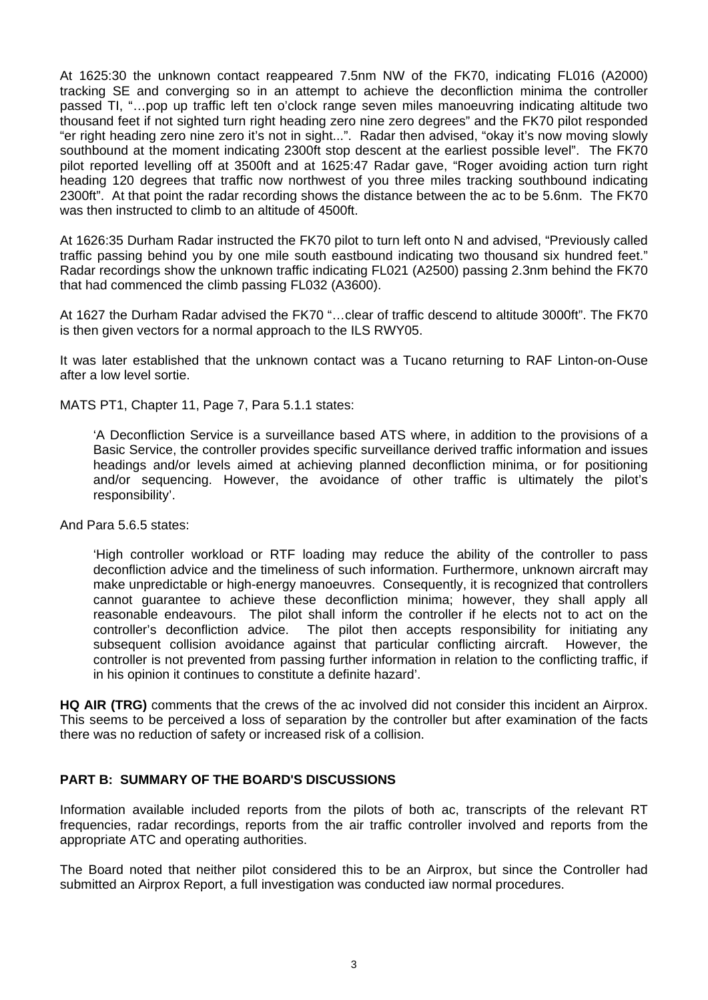At 1625:30 the unknown contact reappeared 7.5nm NW of the FK70, indicating FL016 (A2000) tracking SE and converging so in an attempt to achieve the deconfliction minima the controller passed TI, "…pop up traffic left ten o'clock range seven miles manoeuvring indicating altitude two thousand feet if not sighted turn right heading zero nine zero degrees" and the FK70 pilot responded "er right heading zero nine zero it's not in sight...". Radar then advised, "okay it's now moving slowly southbound at the moment indicating 2300ft stop descent at the earliest possible level". The FK70 pilot reported levelling off at 3500ft and at 1625:47 Radar gave, "Roger avoiding action turn right heading 120 degrees that traffic now northwest of you three miles tracking southbound indicating 2300ft". At that point the radar recording shows the distance between the ac to be 5.6nm. The FK70 was then instructed to climb to an altitude of 4500ft.

At 1626:35 Durham Radar instructed the FK70 pilot to turn left onto N and advised, "Previously called traffic passing behind you by one mile south eastbound indicating two thousand six hundred feet." Radar recordings show the unknown traffic indicating FL021 (A2500) passing 2.3nm behind the FK70 that had commenced the climb passing FL032 (A3600).

At 1627 the Durham Radar advised the FK70 "…clear of traffic descend to altitude 3000ft". The FK70 is then given vectors for a normal approach to the ILS RWY05.

It was later established that the unknown contact was a Tucano returning to RAF Linton-on-Ouse after a low level sortie.

MATS PT1, Chapter 11, Page 7, Para 5.1.1 states:

'A Deconfliction Service is a surveillance based ATS where, in addition to the provisions of a Basic Service, the controller provides specific surveillance derived traffic information and issues headings and/or levels aimed at achieving planned deconfliction minima, or for positioning and/or sequencing. However, the avoidance of other traffic is ultimately the pilot's responsibility'.

And Para 5.6.5 states:

'High controller workload or RTF loading may reduce the ability of the controller to pass deconfliction advice and the timeliness of such information. Furthermore, unknown aircraft may make unpredictable or high-energy manoeuvres. Consequently, it is recognized that controllers cannot guarantee to achieve these deconfliction minima; however, they shall apply all reasonable endeavours. The pilot shall inform the controller if he elects not to act on the controller's deconfliction advice. The pilot then accepts responsibility for initiating any subsequent collision avoidance against that particular conflicting aircraft. However, the controller is not prevented from passing further information in relation to the conflicting traffic, if in his opinion it continues to constitute a definite hazard'.

**HQ AIR (TRG)** comments that the crews of the ac involved did not consider this incident an Airprox. This seems to be perceived a loss of separation by the controller but after examination of the facts there was no reduction of safety or increased risk of a collision.

## **PART B: SUMMARY OF THE BOARD'S DISCUSSIONS**

Information available included reports from the pilots of both ac, transcripts of the relevant RT frequencies, radar recordings, reports from the air traffic controller involved and reports from the appropriate ATC and operating authorities.

The Board noted that neither pilot considered this to be an Airprox, but since the Controller had submitted an Airprox Report, a full investigation was conducted iaw normal procedures.